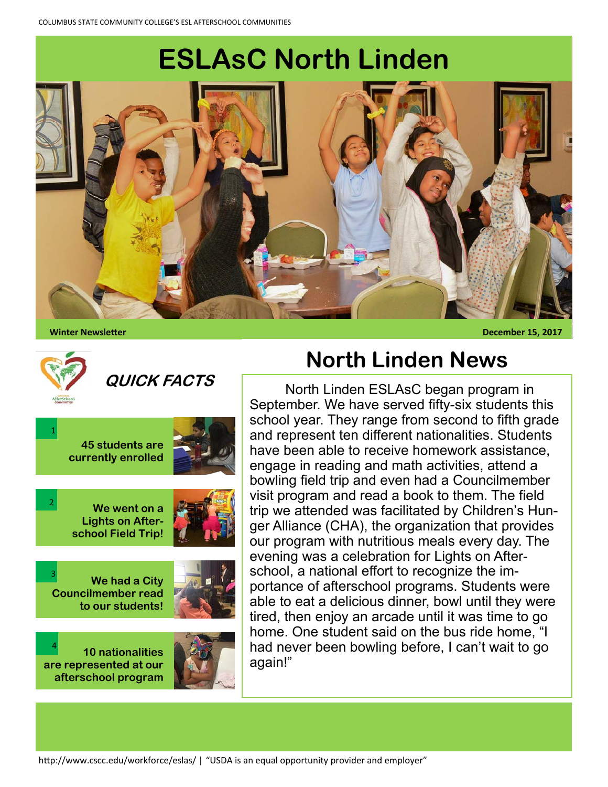# **ESLAsC North Linden**



 **Winter NewsleƩer December 15, 2017** 



2

3

## **QUICK FACTS**



**We went on a Lights on Afterschool Field Trip!** 

**We had a City Councilmember read to our students!** 



**10 nationalities are represented at our afterschool program**  4



#### **North Linden News**

 North Linden ESLAsC began program in September. We have served fifty-six students this school year. They range from second to fifth grade and represent ten different nationalities. Students have been able to receive homework assistance, engage in reading and math activities, attend a bowling field trip and even had a Councilmember visit program and read a book to them. The field trip we attended was facilitated by Children's Hunger Alliance (CHA), the organization that provides our program with nutritious meals every day. The evening was a celebration for Lights on Afterschool, a national effort to recognize the importance of afterschool programs. Students were able to eat a delicious dinner, bowl until they were tired, then enjoy an arcade until it was time to go home. One student said on the bus ride home, "I had never been bowling before, I can't wait to go again!"